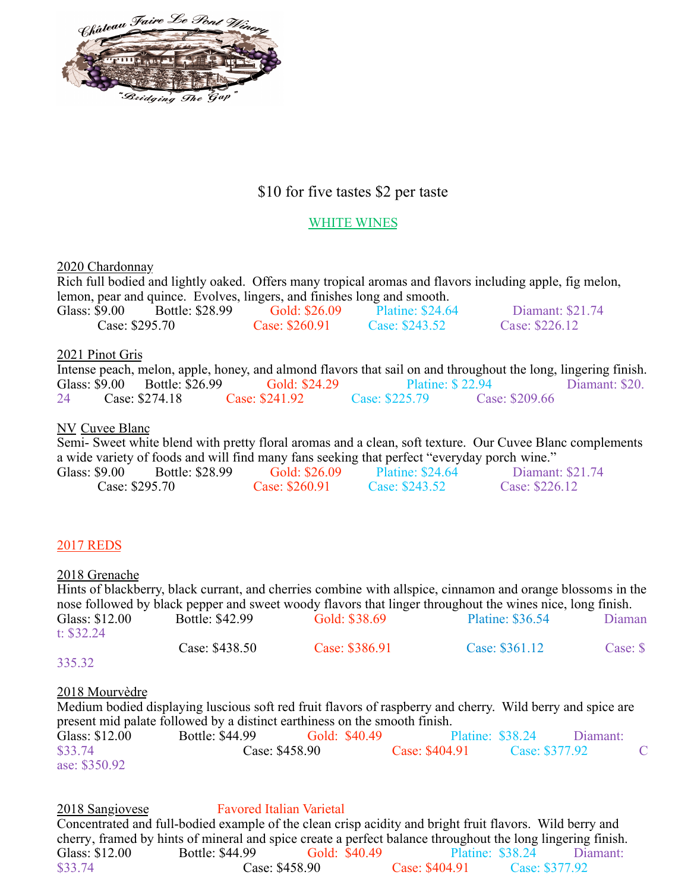

# \$10 for five tastes \$2 per taste

## WHITE WINES

2020 Chardonnay

Rich full bodied and lightly oaked. Offers many tropical aromas and flavors including apple, fig melon, lemon, pear and quince. Evolves, lingers, and finishes long and smooth. Glass: \$9.00 Bottle: \$28.99 Gold: \$26.09 Platine: \$24.64 Diamant: \$21.74<br>Case: \$295.70 Case: \$260.91 Case: \$243.52 Case: \$226.12  $Case: $260.91$ 

### 2021 Pinot Gris

|    |                               | Intense peach, melon, apple, honey, and almond flavors that sail on and throughout the long, lingering finish. |                |                         |                |                |
|----|-------------------------------|----------------------------------------------------------------------------------------------------------------|----------------|-------------------------|----------------|----------------|
|    | Glass: \$9.00 Bottle: \$26.99 | Gold: \$24.29                                                                                                  |                | <b>Platine: \$22.94</b> |                | Diamant: \$20. |
| 24 | Case: \$274.18                | Case: \$241.92                                                                                                 | Case: \$225.79 |                         | Case: \$209.66 |                |

### NV Cuvee Blanc

Semi- Sweet white blend with pretty floral aromas and a clean, soft texture. Our Cuvee Blanc complements a wide variety of foods and will find many fans seeking that perfect "everyday porch wine."

| Glass: \$9.00  | Bottle: \$28.99 | Gold: \$26.09  | <b>Platine: \$24.64</b> | Diamant: \$21.74 |
|----------------|-----------------|----------------|-------------------------|------------------|
| Case: \$295.70 |                 | Case: \$260.91 | Case: \$243.52          | Case: \$226.12   |

# 2017 REDS

### 2018 Grenache

Hints of blackberry, black currant, and cherries combine with allspice, cinnamon and orange blossoms in the nose followed by black pepper and sweet woody flavors that linger throughout the wines nice, long finish. Glass: \$12.00 Bottle: \$42.99 Gold: \$38.69 Platine: \$36.54 Diaman t: \$32.24 Case: \$438.50 Case: \$386.91 Case: \$361.12 Case: \$

### 335.32

### 2018 Mourvèdre

Medium bodied displaying luscious soft red fruit flavors of raspberry and cherry. Wild berry and spice are present mid palate followed by a distinct earthiness on the smooth finish. Glass: \$12.00 Bottle: \$44.99 Gold: \$40.49 Platine: \$38.24 Diamant: \$33.74 Case: \$458.90 Case: \$404.91 Case: \$377.92 **Case: \$404.91** Case: \$377.92 C ase: \$350.92

2018 Sangiovese Favored Italian Varietal Concentrated and full-bodied example of the clean crisp acidity and bright fruit flavors. Wild berry and cherry, framed by hints of mineral and spice create a perfect balance throughout the long lingering finish. Glass: \$12.00 Bottle: \$44.99 Gold: \$40.49 Platine: \$38.24 Diamant: \$33.74 Case: \$458.90 Case: \$404.91 Case: \$377.92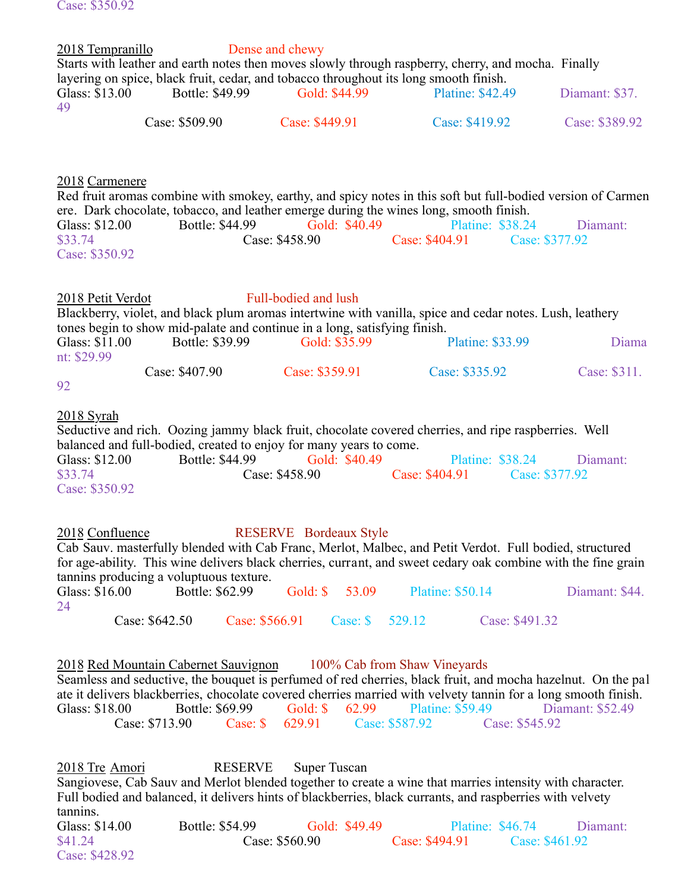Case: \$350.92 2018 Tempranillo Dense and chewy Starts with leather and earth notes then moves slowly through raspberry, cherry, and mocha. Finally layering on spice, black fruit, cedar, and tobacco throughout its long smooth finish.<br>Glass: \$13.00 Bottle: \$49.99 Gold: \$44.99 Platine: \$42.4 Glass: \$13.00 Bottle: \$49.99 Gold: \$44.99 Platine: \$42.49 Diamant: \$37. 49 Case: \$509.90 Case: \$449.91 Case: \$419.92 Case: \$389.92 2018 Carmenere Red fruit aromas combine with smokey, earthy, and spicy notes in this soft but full-bodied version of Carmen ere. Dark chocolate, tobacco, and leather emerge during the wines long, smooth finish. Glass: \$12.00 Bottle: \$44.99 Gold: \$40.49 Platine: \$38.24 Diamant: \$33.74 Case: \$458.90 Case: \$404.91 Case: \$377.92 Case: \$350.92 2018 Petit Verdot Full-bodied and lush Blackberry, violet, and black plum aromas intertwine with vanilla, spice and cedar notes. Lush, leathery tones begin to show mid-palate and continue in a long, satisfying finish.<br>Glass: \$11.00 Bottle: \$39.99 Gold: \$35.99 Bottle: \$39.99 Gold: \$35.99 Platine: \$33.99 Diama nt: \$29.99 Case: \$407.90 Case: \$359.91 Case: \$335.92 Case: \$311. 92 2018 Syrah Seductive and rich. Oozing jammy black fruit, chocolate covered cherries, and ripe raspberries. Well balanced and full-bodied, created to enjoy for many years to come. Glass: \$12.00 Bottle: \$44.99 Gold: \$40.49 Platine: \$38.24 Diamant: \$33.74 Case: \$458.90 Case: \$404.91 Case: \$377.92 Case: \$404.91 Case: \$377.92 Case: \$350.92 2018 Confluence RESERVE Bordeaux Style Cab Sauv. masterfully blended with Cab Franc, Merlot, Malbec, and Petit Verdot. Full bodied, structured for age-ability. This wine delivers black cherries, currant, and sweet cedary oak combine with the fine grain tannins producing a voluptuous texture. Glass: \$16.00 Bottle: \$62.99 Gold: \$ 53.09 Platine: \$50.14 Diamant: \$44. 24 Case: \$642.50 Case: \$566.91 Case: \$ 529.12 Case: \$491.32 2018 Red Mountain Cabernet Sauvignon 100% Cab from Shaw Vineyards Seamless and seductive, the bouquet is perfumed of red cherries, black fruit, and mocha hazelnut. On the pal ate it delivers blackberries, chocolate covered cherries married with velvety tannin for a long smooth finish. Glass: \$18.00 Bottle: \$69.99 Gold: \$ 62.99 Platine: \$59.49 Diamant: \$52.49 Case: \$713.90 Case: \$ 629.91 Case: \$587.92 Case: \$545.92 2018 Tre Amori RESERVE Super Tuscan Sangiovese, Cab Sauv and Merlot blended together to create a wine that marries intensity with character. Full bodied and balanced, it delivers hints of blackberries, black currants, and raspberries with velvety tannins.

Glass: \$14.00 Bottle: \$54.99 Gold: \$49.49 Platine: \$46.74 Diamant: \$41.24 Case: \$560.90 Case: \$494.91 Case: \$461.92 Case: \$428.92